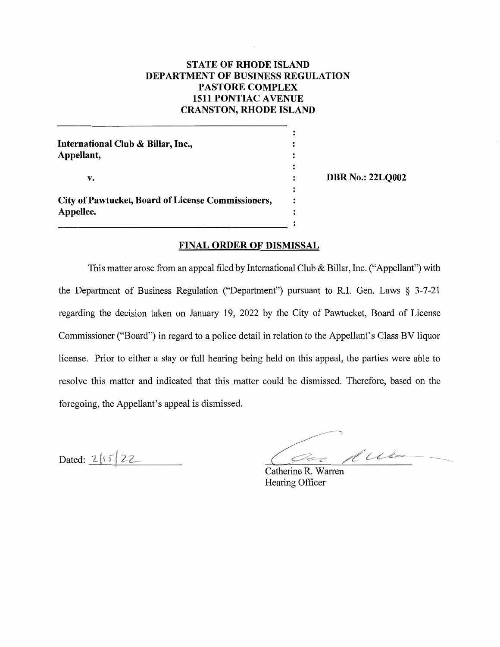# **STATE OF RHODE ISLAND** DEPARTMENT OF BUSINESS REGULATION **PASTORE COMPLEX 1511 PONTIAC AVENUE CRANSTON, RHODE ISLAND**

| International Club & Billar, Inc.,<br>Appellant,                |        |                         |
|-----------------------------------------------------------------|--------|-------------------------|
| v.                                                              | :<br>٠ | <b>DBR No.: 22LQ002</b> |
| City of Pawtucket, Board of License Commissioners,<br>Appellee. |        |                         |
|                                                                 |        |                         |

## **FINAL ORDER OF DISMISSAL**

This matter arose from an appeal filed by International Club & Billar, Inc. ("Appellant") with the Department of Business Regulation ("Department") pursuant to R.I. Gen. Laws  $\S$  3-7-21 regarding the decision taken on January 19, 2022 by the City of Pawtucket, Board of License Commissioner ("Board") in regard to a police detail in relation to the Appellant's Class BV liquor license. Prior to either a stay or full hearing being held on this appeal, the parties were able to resolve this matter and indicated that this matter could be dismissed. Therefore, based on the foregoing, the Appellant's appeal is dismissed.

Dated: 2/15/22

Der Auto

Catherine R. Warren Hearing Officer